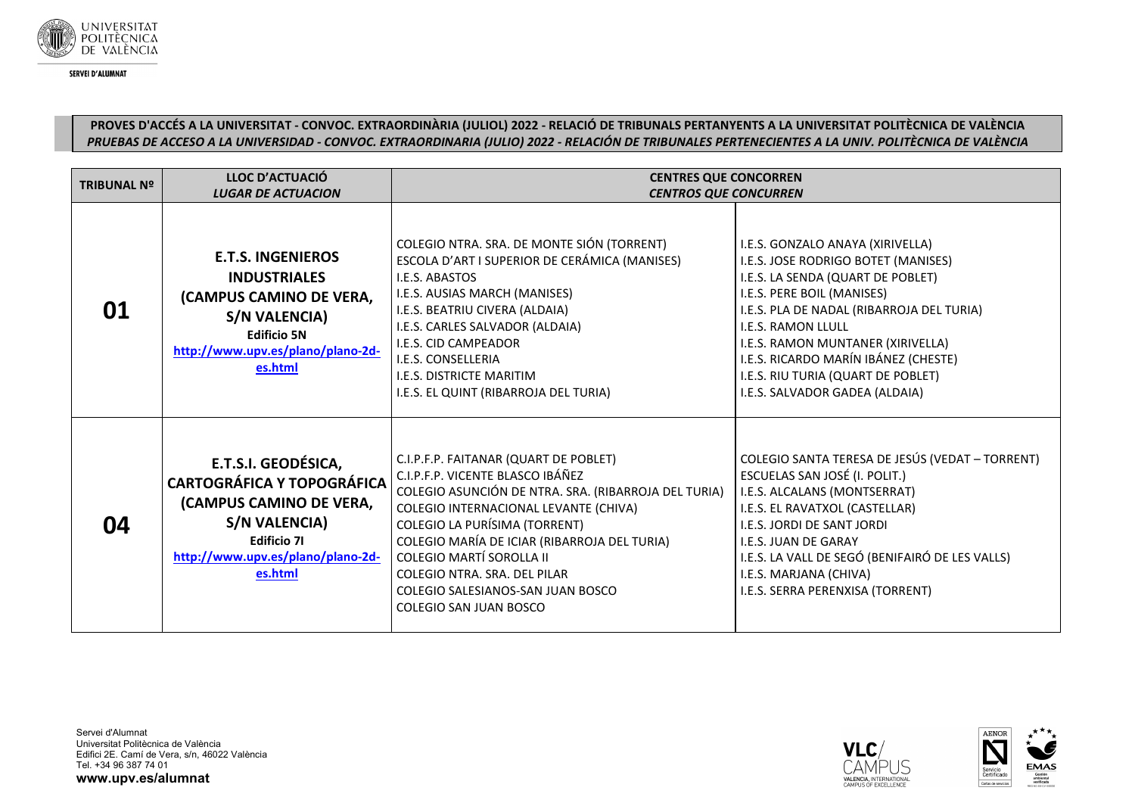

## **PROVES D'ACCÉS A LA UNIVERSITAT - CONVOC. EXTRAORDINÀRIA (JULIOL) 2022 - RELACIÓ DE TRIBUNALS PERTANYENTS A LA UNIVERSITAT POLITÈCNICA DE VALÈNCIA** *PRUEBAS DE ACCESO A LA UNIVERSIDAD - CONVOC. EXTRAORDINARIA (JULIO) 2022 - RELACIÓN DE TRIBUNALES PERTENECIENTES A LA UNIV. POLITÈCNICA DE VALÈNCIA*

| <b>TRIBUNAL Nº</b> | <b>LLOC D'ACTUACIÓ</b><br><b>LUGAR DE ACTUACION</b>                                                                                                                        | <b>CENTRES QUE CONCORREN</b><br><b>CENTROS QUE CONCURREN</b>                                                                                                                                                                                                                                                                                                                                         |                                                                                                                                                                                                                                                                                                                                                                           |
|--------------------|----------------------------------------------------------------------------------------------------------------------------------------------------------------------------|------------------------------------------------------------------------------------------------------------------------------------------------------------------------------------------------------------------------------------------------------------------------------------------------------------------------------------------------------------------------------------------------------|---------------------------------------------------------------------------------------------------------------------------------------------------------------------------------------------------------------------------------------------------------------------------------------------------------------------------------------------------------------------------|
| 01                 | <b>E.T.S. INGENIEROS</b><br><b>INDUSTRIALES</b><br>(CAMPUS CAMINO DE VERA,<br>S/N VALENCIA)<br><b>Edificio 5N</b><br>http://www.upv.es/plano/plano-2d-<br>es.html          | COLEGIO NTRA. SRA. DE MONTE SIÓN (TORRENT)<br>ESCOLA D'ART I SUPERIOR DE CERÁMICA (MANISES)<br>I.E.S. ABASTOS<br>I.E.S. AUSIAS MARCH (MANISES)<br>I.E.S. BEATRIU CIVERA (ALDAIA)<br>I.E.S. CARLES SALVADOR (ALDAIA)<br>I.E.S. CID CAMPEADOR<br><b>I.E.S. CONSELLERIA</b><br><b>I.E.S. DISTRICTE MARITIM</b><br>I.E.S. EL QUINT (RIBARROJA DEL TURIA)                                                 | I.E.S. GONZALO ANAYA (XIRIVELLA)<br>I.E.S. JOSE RODRIGO BOTET (MANISES)<br>I.E.S. LA SENDA (QUART DE POBLET)<br>I.E.S. PERE BOIL (MANISES)<br>I.E.S. PLA DE NADAL (RIBARROJA DEL TURIA)<br><b>I.E.S. RAMON LLULL</b><br>I.E.S. RAMON MUNTANER (XIRIVELLA)<br>I.E.S. RICARDO MARÍN IBÁNEZ (CHESTE)<br>I.E.S. RIU TURIA (QUART DE POBLET)<br>I.E.S. SALVADOR GADEA (ALDAIA) |
| 04                 | E.T.S.I. GEODÉSICA,<br><b>CARTOGRÁFICA Y TOPOGRÁFICA</b><br>(CAMPUS CAMINO DE VERA,<br>S/N VALENCIA)<br><b>Edificio 71</b><br>http://www.upv.es/plano/plano-2d-<br>es.html | C.I.P.F.P. FAITANAR (QUART DE POBLET)<br>C.I.P.F.P. VICENTE BLASCO IBÁÑEZ<br>COLEGIO ASUNCIÓN DE NTRA. SRA. (RIBARROJA DEL TURIA)<br>COLEGIO INTERNACIONAL LEVANTE (CHIVA)<br>COLEGIO LA PURÍSIMA (TORRENT)<br>COLEGIO MARÍA DE ICIAR (RIBARROJA DEL TURIA)<br><b>COLEGIO MARTÍ SOROLLA II</b><br>COLEGIO NTRA, SRA, DEL PILAR<br>COLEGIO SALESIANOS-SAN JUAN BOSCO<br><b>COLEGIO SAN JUAN BOSCO</b> | COLEGIO SANTA TERESA DE JESÚS (VEDAT - TORRENT)<br>ESCUELAS SAN JOSÉ (I. POLIT.)<br>I.E.S. ALCALANS (MONTSERRAT)<br>I.E.S. EL RAVATXOL (CASTELLAR)<br>I.E.S. JORDI DE SANT JORDI<br>I.E.S. JUAN DE GARAY<br>I.E.S. LA VALL DE SEGÓ (BENIFAIRÓ DE LES VALLS)<br>I.E.S. MARJANA (CHIVA)<br>I.E.S. SERRA PERENXISA (TORRENT)                                                 |



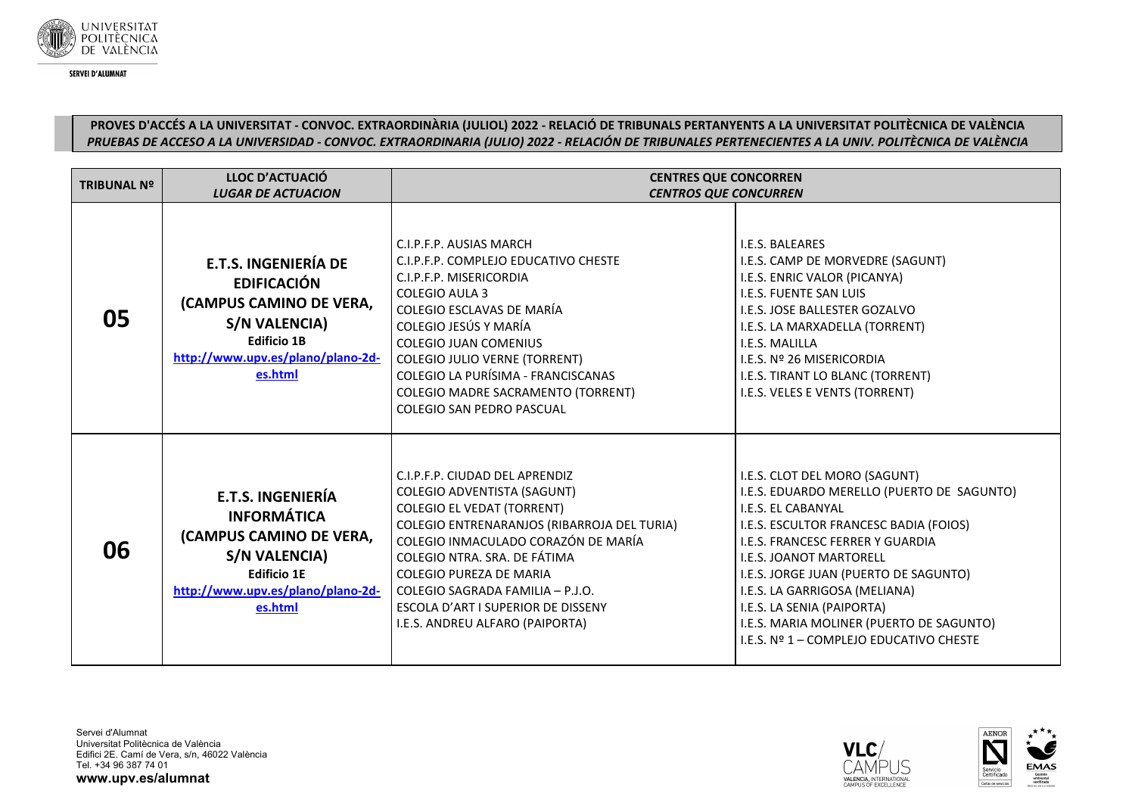

## **PROVES D'ACCÉS A LA UNIVERSITAT - CONVOC. EXTRAORDINÀRIA (JULIOL) 2022 - RELACIÓ DE TRIBUNALS PERTANYENTS A LA UNIVERSITAT POLITÈCNICA DE VALÈNCIA** *PRUEBAS DE ACCESO A LA UNIVERSIDAD - CONVOC. EXTRAORDINARIA (JULIO) 2022 - RELACIÓN DE TRIBUNALES PERTENECIENTES A LA UNIV. POLITÈCNICA DE VALÈNCIA*

| <b>TRIBUNAL Nº</b> | LLOC D'ACTUACIÓ<br><b>LUGAR DE ACTUACION</b>                                                                                                                        | <b>CENTRES QUE CONCORREN</b><br><b>CENTROS QUE CONCURREN</b>                                                                                                                                                                                                                                                                                                              |                                                                                                                                                                                                                                                                                                                                                                                                                         |
|--------------------|---------------------------------------------------------------------------------------------------------------------------------------------------------------------|---------------------------------------------------------------------------------------------------------------------------------------------------------------------------------------------------------------------------------------------------------------------------------------------------------------------------------------------------------------------------|-------------------------------------------------------------------------------------------------------------------------------------------------------------------------------------------------------------------------------------------------------------------------------------------------------------------------------------------------------------------------------------------------------------------------|
| 05                 | <b>E.T.S. INGENIERÍA DE</b><br><b>EDIFICACIÓN</b><br>(CAMPUS CAMINO DE VERA,<br>S/N VALENCIA)<br><b>Edificio 1B</b><br>http://www.upv.es/plano/plano-2d-<br>es.html | C.I.P.F.P. AUSIAS MARCH<br>C.I.P.F.P. COMPLEJO EDUCATIVO CHESTE<br>C.I.P.F.P. MISERICORDIA<br>COLEGIO AULA 3<br>COLEGIO ESCLAVAS DE MARÍA<br>COLEGIO JESÚS Y MARÍA<br><b>COLEGIO JUAN COMENIUS</b><br>COLEGIO JULIO VERNE (TORRENT)<br>COLEGIO LA PURÍSIMA - FRANCISCANAS<br>COLEGIO MADRE SACRAMENTO (TORRENT)<br><b>COLEGIO SAN PEDRO PASCUAL</b>                       | I.E.S. BALEARES<br>I.E.S. CAMP DE MORVEDRE (SAGUNT)<br>I.E.S. ENRIC VALOR (PICANYA)<br>I.E.S. FUENTE SAN LUIS<br>I.E.S. JOSE BALLESTER GOZALVO<br>I.E.S. LA MARXADELLA (TORRENT)<br>I.E.S. MALILLA<br>I.E.S. Nº 26 MISERICORDIA<br>I.E.S. TIRANT LO BLANC (TORRENT)<br>I.E.S. VELES E VENTS (TORRENT)                                                                                                                   |
| 06                 | <b>E.T.S. INGENIERÍA</b><br><b>INFORMÁTICA</b><br>(CAMPUS CAMINO DE VERA,<br>S/N VALENCIA)<br><b>Edificio 1E</b><br>http://www.upv.es/plano/plano-2d-<br>es.html    | C.I.P.F.P. CIUDAD DEL APRENDIZ<br>COLEGIO ADVENTISTA (SAGUNT)<br><b>COLEGIO EL VEDAT (TORRENT)</b><br>COLEGIO ENTRENARANJOS (RIBARROJA DEL TURIA)<br>COLEGIO INMACULADO CORAZÓN DE MARÍA<br>COLEGIO NTRA. SRA. DE FÁTIMA<br><b>COLEGIO PUREZA DE MARIA</b><br>l COLEGIO SAGRADA FAMILIA – P.J.O.<br>ESCOLA D'ART I SUPERIOR DE DISSENY<br>I.E.S. ANDREU ALFARO (PAIPORTA) | I.E.S. CLOT DEL MORO (SAGUNT)<br>I.E.S. EDUARDO MERELLO (PUERTO DE SAGUNTO)<br>I.E.S. EL CABANYAL<br>I.E.S. ESCULTOR FRANCESC BADIA (FOIOS)<br><b>I.E.S. FRANCESC FERRER Y GUARDIA</b><br><b>I.E.S. JOANOT MARTORELL</b><br>I.E.S. JORGE JUAN (PUERTO DE SAGUNTO)<br>I.E.S. LA GARRIGOSA (MELIANA)<br>I.E.S. LA SENIA (PAIPORTA)<br>I.E.S. MARIA MOLINER (PUERTO DE SAGUNTO)<br>I.E.S. Nº 1 – COMPLEJO EDUCATIVO CHESTE |



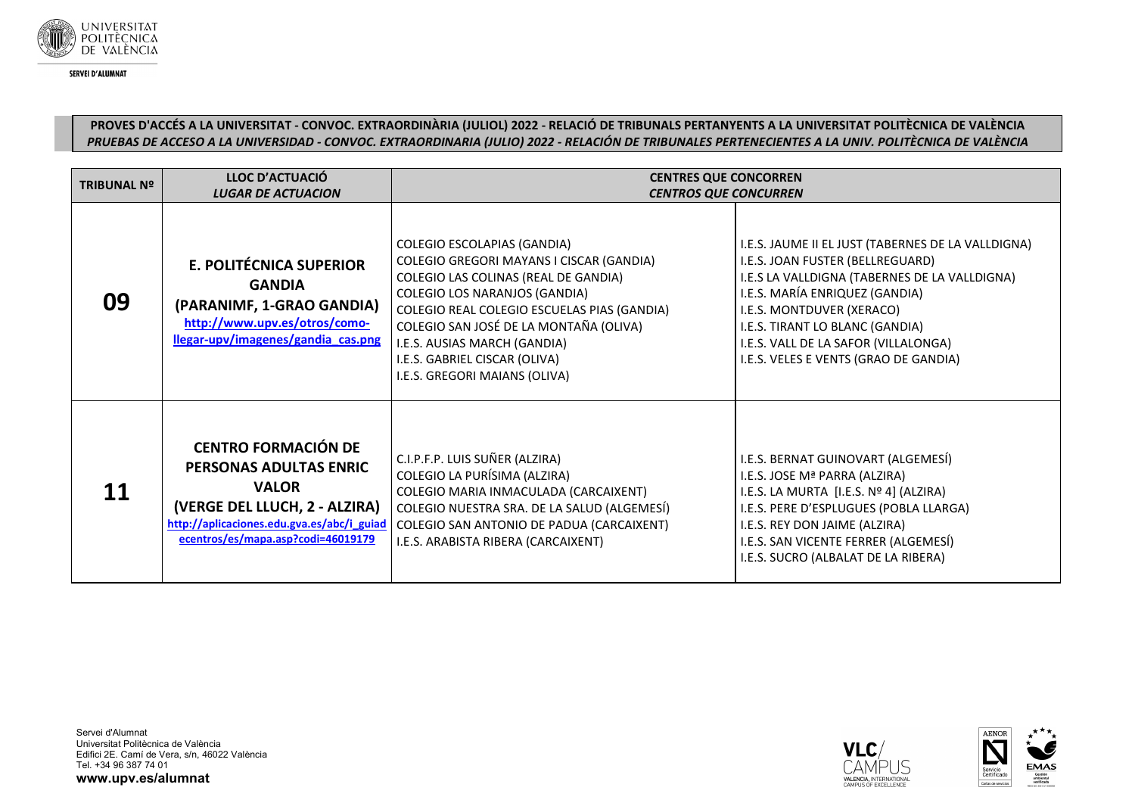

## **PROVES D'ACCÉS A LA UNIVERSITAT - CONVOC. EXTRAORDINÀRIA (JULIOL) 2022 - RELACIÓ DE TRIBUNALS PERTANYENTS A LA UNIVERSITAT POLITÈCNICA DE VALÈNCIA** *PRUEBAS DE ACCESO A LA UNIVERSIDAD - CONVOC. EXTRAORDINARIA (JULIO) 2022 - RELACIÓN DE TRIBUNALES PERTENECIENTES A LA UNIV. POLITÈCNICA DE VALÈNCIA*

| <b>TRIBUNAL Nº</b> | LLOC D'ACTUACIÓ<br><b>LUGAR DE ACTUACION</b>                                                                                                                                              | <b>CENTRES QUE CONCORREN</b><br><b>CENTROS QUE CONCURREN</b>                                                                                                                                                                                                                                                                                |                                                                                                                                                                                                                                                                                                                            |
|--------------------|-------------------------------------------------------------------------------------------------------------------------------------------------------------------------------------------|---------------------------------------------------------------------------------------------------------------------------------------------------------------------------------------------------------------------------------------------------------------------------------------------------------------------------------------------|----------------------------------------------------------------------------------------------------------------------------------------------------------------------------------------------------------------------------------------------------------------------------------------------------------------------------|
| 09                 | <b>E. POLITÉCNICA SUPERIOR</b><br><b>GANDIA</b><br>(PARANIMF, 1-GRAO GANDIA)<br>http://www.upv.es/otros/como-<br>llegar-upv/imagenes/gandia cas.png                                       | COLEGIO ESCOLAPIAS (GANDIA)<br>COLEGIO GREGORI MAYANS I CISCAR (GANDIA)<br>COLEGIO LAS COLINAS (REAL DE GANDIA)<br>COLEGIO LOS NARANJOS (GANDIA)<br>COLEGIO REAL COLEGIO ESCUELAS PIAS (GANDIA)<br>COLEGIO SAN JOSÉ DE LA MONTAÑA (OLIVA)<br>I.E.S. AUSIAS MARCH (GANDIA)<br>I.E.S. GABRIEL CISCAR (OLIVA)<br>I.E.S. GREGORI MAIANS (OLIVA) | I.E.S. JAUME II EL JUST (TABERNES DE LA VALLDIGNA)<br>I.E.S. JOAN FUSTER (BELLREGUARD)<br>I.E.S LA VALLDIGNA (TABERNES DE LA VALLDIGNA)<br>I.E.S. MARÍA ENRIQUEZ (GANDIA)<br>I.E.S. MONTDUVER (XERACO)<br>I.E.S. TIRANT LO BLANC (GANDIA)<br>I.E.S. VALL DE LA SAFOR (VILLALONGA)<br>I.E.S. VELES E VENTS (GRAO DE GANDIA) |
| 11                 | <b>CENTRO FORMACIÓN DE</b><br>PERSONAS ADULTAS ENRIC<br><b>VALOR</b><br>(VERGE DEL LLUCH, 2 - ALZIRA)<br>http://aplicaciones.edu.gva.es/abc/i guiad<br>ecentros/es/mapa.asp?codi=46019179 | C.I.P.F.P. LUIS SUÑER (ALZIRA)<br>COLEGIO LA PURÍSIMA (ALZIRA)<br>COLEGIO MARIA INMACULADA (CARCAIXENT)<br>COLEGIO NUESTRA SRA. DE LA SALUD (ALGEMESÍ)<br>COLEGIO SAN ANTONIO DE PADUA (CARCAIXENT)<br>I.E.S. ARABISTA RIBERA (CARCAIXENT)                                                                                                  | I.E.S. BERNAT GUINOVART (ALGEMESÍ)<br>I.E.S. JOSE Mª PARRA (ALZIRA)<br>I.E.S. LA MURTA [I.E.S. Nº 4] (ALZIRA)<br>I.E.S. PERE D'ESPLUGUES (POBLA LLARGA)<br>I.E.S. REY DON JAIME (ALZIRA)<br>I.E.S. SAN VICENTE FERRER (ALGEMESÍ)<br>I.E.S. SUCRO (ALBALAT DE LA RIBERA)                                                    |